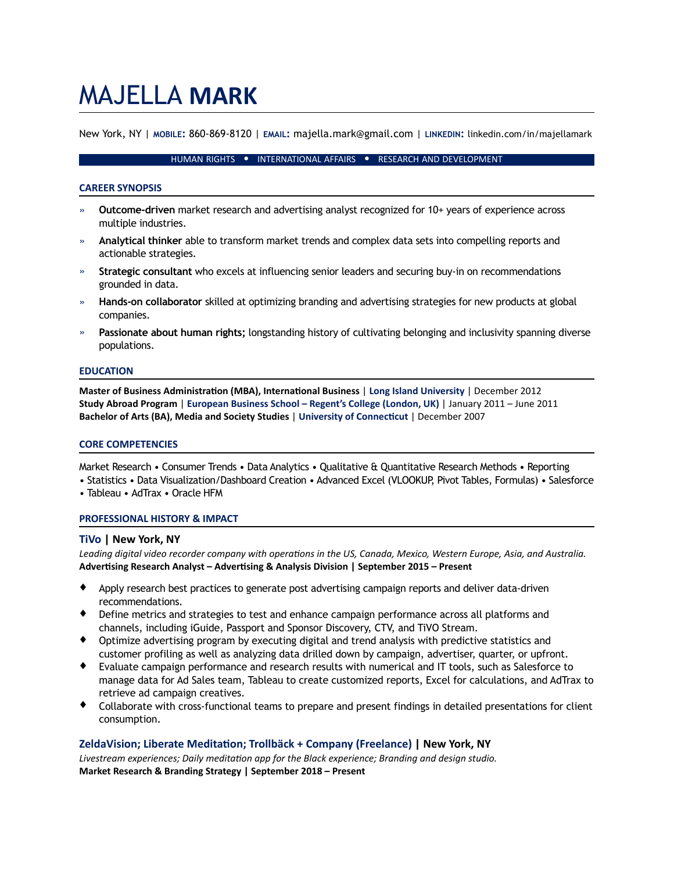# MAJELLA **MARK**

New York, NY | **MOBILE:** 860-869-8120 | **EMAIL:** majella.mark@gmail.com | **LINKEDIN:** linkedin.com/in/majellamark

#### HUMAN RIGHTS • INTERNATIONAL AFFAIRS • RESEARCH AND DEVELOPMENT

#### **CAREER SYNOPSIS**

- » **Outcome-driven** market research and advertising analyst recognized for 10+ years of experience across multiple industries.
- » **Analytical thinker** able to transform market trends and complex data sets into compelling reports and actionable strategies.
- » **Strategic consultant** who excels at influencing senior leaders and securing buy-in on recommendations grounded in data.
- » **Hands-on collaborator** skilled at optimizing branding and advertising strategies for new products at global companies.
- » **Passionate about human rights;** longstanding history of cultivating belonging and inclusivity spanning diverse populations.

#### **EDUCATION**

**Master of Business Administration (MBA), International Business | Long Island University | December 2012 Study Abroad Program** | **European Business School – Regent's College (London, UK)** | January 2011 – June 2011 **Bachelor of Arts (BA), Media and Society Studies | University of Connecticut | December 2007** 

#### **CORE COMPETENCIES**

Market Research • Consumer Trends • Data Analytics • Qualitative & Quantitative Research Methods • Reporting

- Statistics Data Visualization/Dashboard Creation Advanced Excel (VLOOKUP, Pivot Tables, Formulas) Salesforce
- Tableau AdTrax Oracle HFM

## **PROFESSIONAL HISTORY & IMPACT**

## **TiVo | New York, NY**

Leading digital video recorder company with operations in the US, Canada, Mexico, Western Europe, Asia, and Australia. Advertising Research Analyst – Advertising & Analysis Division | September 2015 – Present

- ♦ Apply research best practices to generate post advertising campaign reports and deliver data-driven recommendations.
- ♦ Define metrics and strategies to test and enhance campaign performance across all platforms and channels, including iGuide, Passport and Sponsor Discovery, CTV, and TiVO Stream.
- ♦ Optimize advertising program by executing digital and trend analysis with predictive statistics and customer profiling as well as analyzing data drilled down by campaign, advertiser, quarter, or upfront.
- ♦ Evaluate campaign performance and research results with numerical and IT tools, such as Salesforce to manage data for Ad Sales team, Tableau to create customized reports, Excel for calculations, and AdTrax to retrieve ad campaign creatives.
- ♦ Collaborate with cross-functional teams to prepare and present findings in detailed presentations for client consumption.

## ZeldaVision; Liberate Meditation; Trollbäck + Company (Freelance) | New York, NY

Livestream experiences; Daily meditation app for the Black experience; Branding and design studio. **Market Research & Branding Strategy | September 2018 – Present**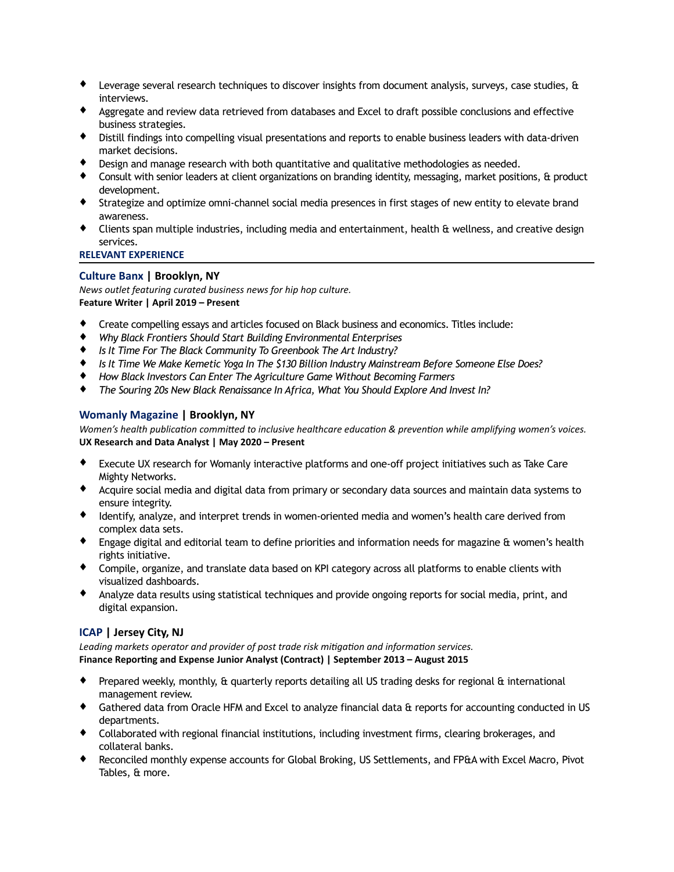- ♦ Leverage several research techniques to discover insights from document analysis, surveys, case studies, & interviews.
- ♦ Aggregate and review data retrieved from databases and Excel to draft possible conclusions and effective business strategies.
- ♦ Distill findings into compelling visual presentations and reports to enable business leaders with data-driven market decisions.
- ♦ Design and manage research with both quantitative and qualitative methodologies as needed.
- ♦ Consult with senior leaders at client organizations on branding identity, messaging, market positions, & product development.
- ♦ Strategize and optimize omni-channel social media presences in first stages of new entity to elevate brand awareness.
- ♦ Clients span multiple industries, including media and entertainment, health & wellness, and creative design services.

## **RELEVANT EXPERIENCE**

## **Culture Banx | Brooklyn, NY**

*News outlet featuring curated business news for hip hop culture.* 

**Feature Writer | April 2019 – Present** 

- Create compelling essays and articles focused on Black business and economics. Titles include:
- ♦ *Why Black Frontiers Should Start Building Environmental Enterprises*
- ♦ *Is It Time For The Black Community To Greenbook The Art Industry?*
- ♦ *Is It Time We Make Kemetic Yoga In The \$130 Billion Industry Mainstream Before Someone Else Does?*
- ♦ *How Black Investors Can Enter The Agriculture Game Without Becoming Farmers*
- ♦ *The Souring 20s New Black Renaissance In Africa, What You Should Explore And Invest In?*

## **Womanly Magazine | Brooklyn, NY**

*Women's health publication committed to inclusive healthcare education & prevention while amplifying women's voices.* **UX Research and Data Analyst | May 2020 – Present** 

- ♦ Execute UX research for Womanly interactive platforms and one-off project initiatives such as Take Care Mighty Networks.
- ♦ Acquire social media and digital data from primary or secondary data sources and maintain data systems to ensure integrity.
- ♦ Identify, analyze, and interpret trends in women-oriented media and women's health care derived from complex data sets.
- ♦ Engage digital and editorial team to define priorities and information needs for magazine & women's health rights initiative.
- ♦ Compile, organize, and translate data based on KPI category across all platforms to enable clients with visualized dashboards.
- ♦ Analyze data results using statistical techniques and provide ongoing reports for social media, print, and digital expansion.

## **ICAP | Jersey City, NJ**

Leading markets operator and provider of post trade risk mitigation and information services. Finance Reporting and Expense Junior Analyst (Contract) | September 2013 – August 2015

- ♦ Prepared weekly, monthly, & quarterly reports detailing all US trading desks for regional & international management review.
- ♦ Gathered data from Oracle HFM and Excel to analyze financial data & reports for accounting conducted in US departments.
- ♦ Collaborated with regional financial institutions, including investment firms, clearing brokerages, and collateral banks.
- ♦ Reconciled monthly expense accounts for Global Broking, US Settlements, and FP&A with Excel Macro, Pivot Tables, & more.